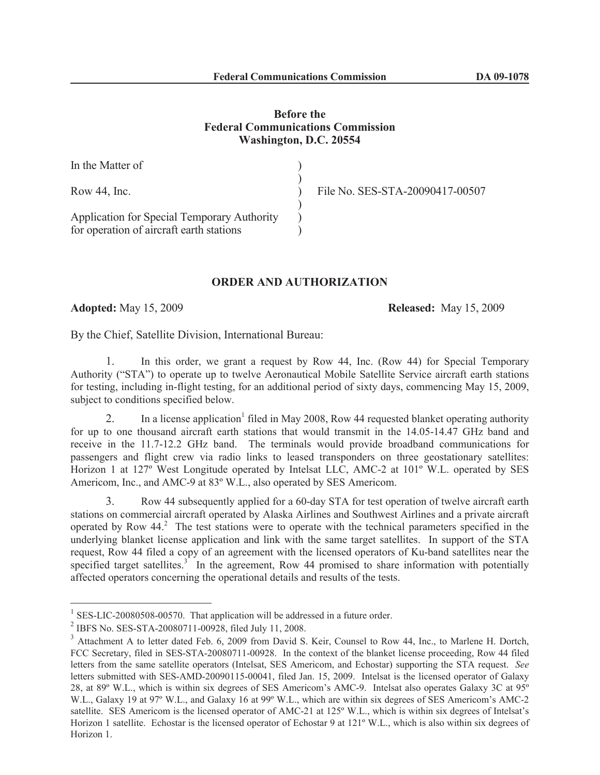## **Before the Federal Communications Commission Washington, D.C. 20554**

| In the Matter of                                                                        |                                 |
|-----------------------------------------------------------------------------------------|---------------------------------|
| Row $44$ , Inc.                                                                         | File No. SES-STA-20090417-00507 |
| Application for Special Temporary Authority<br>for operation of aircraft earth stations |                                 |

## **ORDER AND AUTHORIZATION**

**Adopted:** May 15, 2009 **Released:** May 15, 2009

By the Chief, Satellite Division, International Bureau:

1. In this order, we grant a request by Row 44, Inc. (Row 44) for Special Temporary Authority ("STA") to operate up to twelve Aeronautical Mobile Satellite Service aircraft earth stations for testing, including in-flight testing, for an additional period of sixty days, commencing May 15, 2009, subject to conditions specified below.

2. In a license application<sup>1</sup> filed in May 2008, Row 44 requested blanket operating authority for up to one thousand aircraft earth stations that would transmit in the 14.05-14.47 GHz band and receive in the 11.7-12.2 GHz band. The terminals would provide broadband communications for passengers and flight crew via radio links to leased transponders on three geostationary satellites: Horizon 1 at 127º West Longitude operated by Intelsat LLC, AMC-2 at 101º W.L. operated by SES Americom, Inc., and AMC-9 at 83º W.L., also operated by SES Americom.

3. Row 44 subsequently applied for a 60-day STA for test operation of twelve aircraft earth stations on commercial aircraft operated by Alaska Airlines and Southwest Airlines and a private aircraft operated by Row 44.<sup>2</sup> The test stations were to operate with the technical parameters specified in the underlying blanket license application and link with the same target satellites. In support of the STA request, Row 44 filed a copy of an agreement with the licensed operators of Ku-band satellites near the specified target satellites. $3$  In the agreement, Row 44 promised to share information with potentially affected operators concerning the operational details and results of the tests.

 $1$  SES-LIC-20080508-00570. That application will be addressed in a future order.

<sup>2</sup> IBFS No. SES-STA-20080711-00928, filed July 11, 2008.

<sup>&</sup>lt;sup>3</sup> Attachment A to letter dated Feb. 6, 2009 from David S. Keir, Counsel to Row 44, Inc., to Marlene H. Dortch, FCC Secretary, filed in SES-STA-20080711-00928. In the context of the blanket license proceeding, Row 44 filed letters from the same satellite operators (Intelsat, SES Americom, and Echostar) supporting the STA request. *See*  letters submitted with SES-AMD-20090115-00041, filed Jan. 15, 2009. Intelsat is the licensed operator of Galaxy 28, at 89º W.L., which is within six degrees of SES Americom's AMC-9. Intelsat also operates Galaxy 3C at 95º W.L., Galaxy 19 at 97º W.L., and Galaxy 16 at 99º W.L., which are within six degrees of SES Americom's AMC-2 satellite. SES Americom is the licensed operator of AMC-21 at 125º W.L., which is within six degrees of Intelsat's Horizon 1 satellite. Echostar is the licensed operator of Echostar 9 at 121<sup>°</sup> W.L., which is also within six degrees of Horizon 1.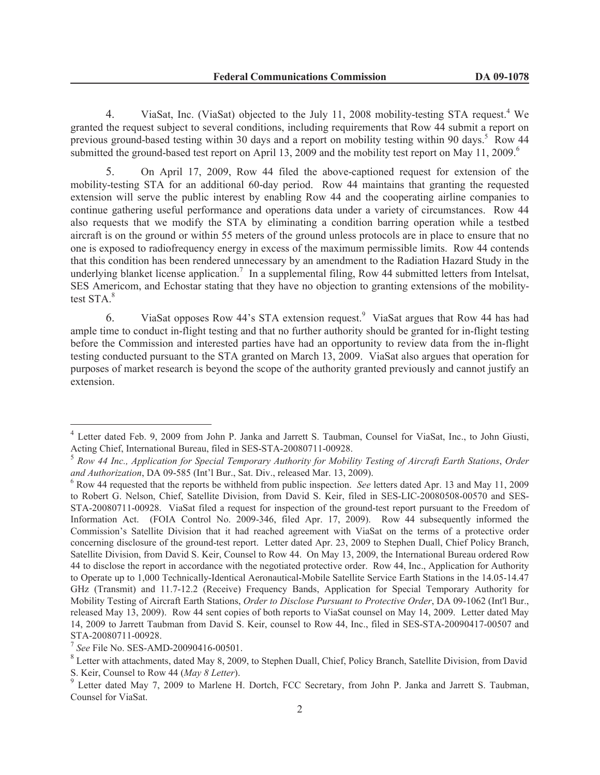4. ViaSat, Inc. (ViaSat) objected to the July 11, 2008 mobility-testing STA request.<sup>4</sup> We granted the request subject to several conditions, including requirements that Row 44 submit a report on previous ground-based testing within 30 days and a report on mobility testing within 90 days.<sup>5</sup> Row 44 submitted the ground-based test report on April 13, 2009 and the mobility test report on May 11, 2009.<sup>6</sup>

5. On April 17, 2009, Row 44 filed the above-captioned request for extension of the mobility-testing STA for an additional 60-day period. Row 44 maintains that granting the requested extension will serve the public interest by enabling Row 44 and the cooperating airline companies to continue gathering useful performance and operations data under a variety of circumstances. Row 44 also requests that we modify the STA by eliminating a condition barring operation while a testbed aircraft is on the ground or within 55 meters of the ground unless protocols are in place to ensure that no one is exposed to radiofrequency energy in excess of the maximum permissible limits. Row 44 contends that this condition has been rendered unnecessary by an amendment to the Radiation Hazard Study in the underlying blanket license application.<sup>7</sup> In a supplemental filing, Row 44 submitted letters from Intelsat, SES Americom, and Echostar stating that they have no objection to granting extensions of the mobilitytest STA.<sup>8</sup>

6. ViaSat opposes Row 44's STA extension request.<sup>9</sup> ViaSat argues that Row 44 has had ample time to conduct in-flight testing and that no further authority should be granted for in-flight testing before the Commission and interested parties have had an opportunity to review data from the in-flight testing conducted pursuant to the STA granted on March 13, 2009. ViaSat also argues that operation for purposes of market research is beyond the scope of the authority granted previously and cannot justify an extension.

<sup>&</sup>lt;sup>4</sup> Letter dated Feb. 9, 2009 from John P. Janka and Jarrett S. Taubman, Counsel for ViaSat, Inc., to John Giusti, Acting Chief, International Bureau, filed in SES-STA-20080711-00928.

<sup>5</sup> *Row 44 Inc., Application for Special Temporary Authority for Mobility Testing of Aircraft Earth Stations*, *Order and Authorization*, DA 09-585 (Int'l Bur., Sat. Div., released Mar. 13, 2009).

<sup>6</sup> Row 44 requested that the reports be withheld from public inspection. *See* letters dated Apr. 13 and May 11, 2009 to Robert G. Nelson, Chief, Satellite Division, from David S. Keir, filed in SES-LIC-20080508-00570 and SES-STA-20080711-00928. ViaSat filed a request for inspection of the ground-test report pursuant to the Freedom of Information Act. (FOIA Control No. 2009-346, filed Apr. 17, 2009). Row 44 subsequently informed the Commission's Satellite Division that it had reached agreement with ViaSat on the terms of a protective order concerning disclosure of the ground-test report. Letter dated Apr. 23, 2009 to Stephen Duall, Chief Policy Branch, Satellite Division, from David S. Keir, Counsel to Row 44. On May 13, 2009, the International Bureau ordered Row 44 to disclose the report in accordance with the negotiated protective order. Row 44, Inc., Application for Authority to Operate up to 1,000 Technically-Identical Aeronautical-Mobile Satellite Service Earth Stations in the 14.05-14.47 GHz (Transmit) and 11.7-12.2 (Receive) Frequency Bands, Application for Special Temporary Authority for Mobility Testing of Aircraft Earth Stations, *Order to Disclose Pursuant to Protective Order*, DA 09-1062 (Int'l Bur., released May 13, 2009). Row 44 sent copies of both reports to ViaSat counsel on May 14, 2009. Letter dated May 14, 2009 to Jarrett Taubman from David S. Keir, counsel to Row 44, Inc., filed in SES-STA-20090417-00507 and STA-20080711-00928.

<sup>7</sup> *See* File No. SES-AMD-20090416-00501.

<sup>&</sup>lt;sup>8</sup> Letter with attachments, dated May 8, 2009, to Stephen Duall, Chief, Policy Branch, Satellite Division, from David S. Keir, Counsel to Row 44 (*May 8 Letter*).

<sup>&</sup>lt;sup>9</sup> Letter dated May 7, 2009 to Marlene H. Dortch, FCC Secretary, from John P. Janka and Jarrett S. Taubman, Counsel for ViaSat.